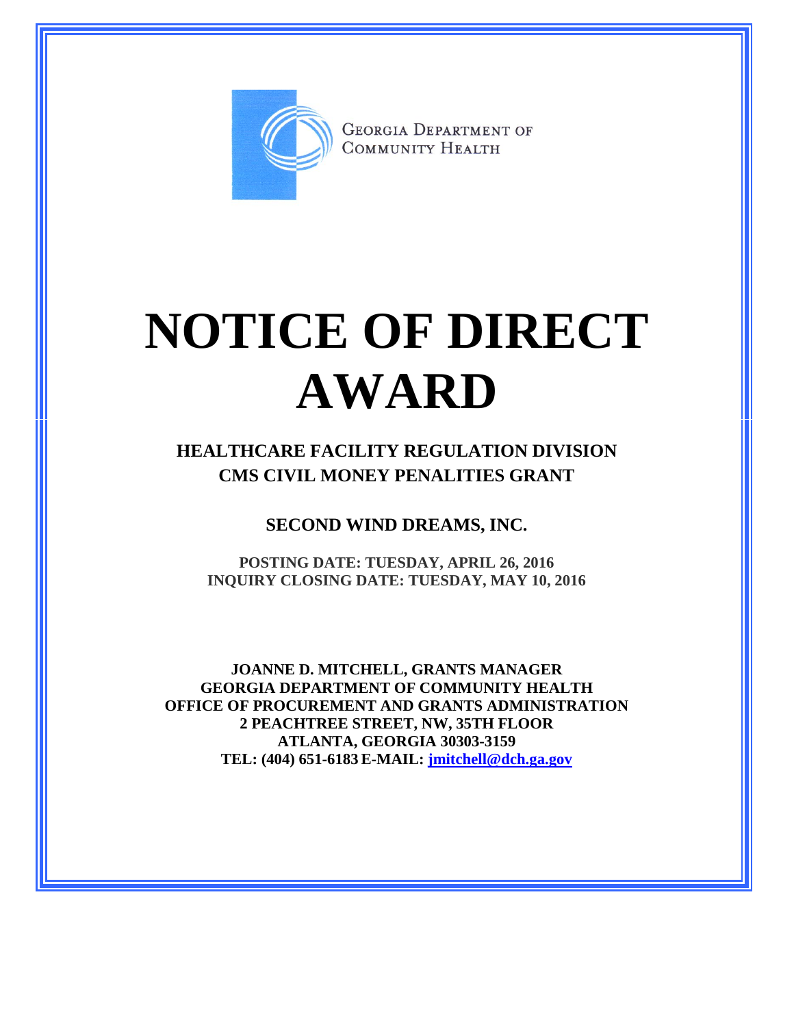

**GEORGIA DEPARTMENT OF** COMMUNITY HEALTH

## **NOTICE OF DIRECT AWARD**

**HEALTHCARE FACILITY REGULATION DIVISION CMS CIVIL MONEY PENALITIES GRANT**

**SECOND WIND DREAMS, INC.**

**POSTING DATE: TUESDAY, APRIL 26, 2016 INQUIRY CLOSING DATE: TUESDAY, MAY 10, 2016**

**JOANNE D. MITCHELL, GRANTS MANAGER GEORGIA DEPARTMENT OF COMMUNITY HEALTH OFFICE OF PROCUREMENT AND GRANTS ADMINISTRATION 2 PEACHTREE STREET, NW, 35TH FLOOR ATLANTA, GEORGIA 30303-3159 TEL: (404) 651-6183 E-MAIL: [jmitchell@dch.ga.gov](mailto:awatson@dch.ga.gov)**